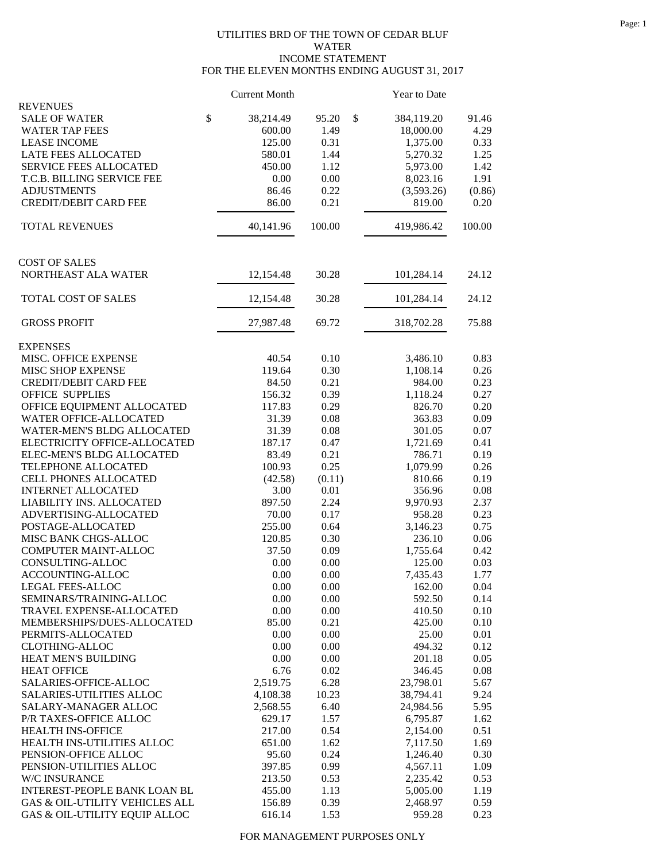## UTILITIES BRD OF THE TOWN OF CEDAR BLUF WATER INCOME STATEMENT FOR THE ELEVEN MONTHS ENDING AUGUST 31, 2017

|                                | <b>Current Month</b> |        | <b>Year to Date</b> |        |
|--------------------------------|----------------------|--------|---------------------|--------|
| <b>REVENUES</b>                |                      |        |                     |        |
| <b>SALE OF WATER</b>           | \$<br>38,214.49      | 95.20  | \$<br>384,119.20    | 91.46  |
| <b>WATER TAP FEES</b>          | 600.00               | 1.49   | 18,000.00           | 4.29   |
| <b>LEASE INCOME</b>            | 125.00               | 0.31   | 1,375.00            | 0.33   |
| LATE FEES ALLOCATED            | 580.01               | 1.44   | 5,270.32            | 1.25   |
| <b>SERVICE FEES ALLOCATED</b>  | 450.00               | 1.12   | 5,973.00            | 1.42   |
| T.C.B. BILLING SERVICE FEE     | 0.00                 | 0.00   | 8,023.16            | 1.91   |
| <b>ADJUSTMENTS</b>             | 86.46                | 0.22   | (3,593.26)          | (0.86) |
| <b>CREDIT/DEBIT CARD FEE</b>   | 86.00                | 0.21   | 819.00              | 0.20   |
| <b>TOTAL REVENUES</b>          | 40,141.96            | 100.00 | 419,986.42          | 100.00 |
| <b>COST OF SALES</b>           |                      |        |                     |        |
| NORTHEAST ALA WATER            | 12,154.48            | 30.28  | 101,284.14          | 24.12  |
| TOTAL COST OF SALES            | 12,154.48            | 30.28  | 101,284.14          | 24.12  |
| <b>GROSS PROFIT</b>            | 27,987.48            | 69.72  | 318,702.28          | 75.88  |
| <b>EXPENSES</b>                |                      |        |                     |        |
| MISC. OFFICE EXPENSE           | 40.54                | 0.10   | 3,486.10            | 0.83   |
| MISC SHOP EXPENSE              | 119.64               | 0.30   | 1,108.14            | 0.26   |
| <b>CREDIT/DEBIT CARD FEE</b>   | 84.50                | 0.21   | 984.00              | 0.23   |
| <b>OFFICE SUPPLIES</b>         | 156.32               | 0.39   | 1,118.24            | 0.27   |
| OFFICE EQUIPMENT ALLOCATED     | 117.83               | 0.29   | 826.70              | 0.20   |
| WATER OFFICE-ALLOCATED         | 31.39                | 0.08   | 363.83              | 0.09   |
| WATER-MEN'S BLDG ALLOCATED     | 31.39                | 0.08   | 301.05              | 0.07   |
| ELECTRICITY OFFICE-ALLOCATED   | 187.17               | 0.47   | 1,721.69            | 0.41   |
| ELEC-MEN'S BLDG ALLOCATED      | 83.49                | 0.21   | 786.71              | 0.19   |
| TELEPHONE ALLOCATED            | 100.93               | 0.25   | 1,079.99            | 0.26   |
| CELL PHONES ALLOCATED          | (42.58)              | (0.11) | 810.66              | 0.19   |
| <b>INTERNET ALLOCATED</b>      | 3.00                 | 0.01   | 356.96              | 0.08   |
| LIABILITY INS. ALLOCATED       | 897.50               | 2.24   | 9,970.93            | 2.37   |
| ADVERTISING-ALLOCATED          | 70.00                | 0.17   | 958.28              | 0.23   |
| POSTAGE-ALLOCATED              | 255.00               | 0.64   | 3,146.23            | 0.75   |
| MISC BANK CHGS-ALLOC           | 120.85               | 0.30   | 236.10              | 0.06   |
| COMPUTER MAINT-ALLOC           | 37.50                | 0.09   | 1,755.64            | 0.42   |
| CONSULTING-ALLOC               | 0.00                 | 0.00   | 125.00              | 0.03   |
| ACCOUNTING-ALLOC               | 0.00                 | 0.00   | 7,435.43            | 1.77   |
| LEGAL FEES-ALLOC               | 0.00                 | 0.00   | 162.00              | 0.04   |
| SEMINARS/TRAINING-ALLOC        | 0.00                 | 0.00   | 592.50              | 0.14   |
| TRAVEL EXPENSE-ALLOCATED       | 0.00                 | 0.00   | 410.50              | 0.10   |
| MEMBERSHIPS/DUES-ALLOCATED     | 85.00                | 0.21   | 425.00              | 0.10   |
| PERMITS-ALLOCATED              | 0.00                 | 0.00   | 25.00               | 0.01   |
| <b>CLOTHING-ALLOC</b>          | 0.00                 | 0.00   | 494.32              | 0.12   |
| HEAT MEN'S BUILDING            | 0.00                 | 0.00   | 201.18              | 0.05   |
| <b>HEAT OFFICE</b>             | 6.76                 | 0.02   | 346.45              | 0.08   |
| SALARIES-OFFICE-ALLOC          | 2,519.75             | 6.28   | 23,798.01           | 5.67   |
| SALARIES-UTILITIES ALLOC       | 4,108.38             | 10.23  | 38,794.41           | 9.24   |
| SALARY-MANAGER ALLOC           | 2,568.55             | 6.40   | 24,984.56           | 5.95   |
| P/R TAXES-OFFICE ALLOC         | 629.17               | 1.57   | 6,795.87            | 1.62   |
| HEALTH INS-OFFICE              | 217.00               | 0.54   | 2,154.00            | 0.51   |
| HEALTH INS-UTILITIES ALLOC     | 651.00               | 1.62   | 7,117.50            | 1.69   |
| PENSION-OFFICE ALLOC           | 95.60                | 0.24   | 1,246.40            | 0.30   |
| PENSION-UTILITIES ALLOC        | 397.85               | 0.99   | 4,567.11            | 1.09   |
| W/C INSURANCE                  | 213.50               | 0.53   | 2,235.42            | 0.53   |
| INTEREST-PEOPLE BANK LOAN BL   | 455.00               | 1.13   | 5,005.00            | 1.19   |
| GAS & OIL-UTILITY VEHICLES ALL | 156.89               | 0.39   | 2,468.97            | 0.59   |
| GAS & OIL-UTILITY EQUIP ALLOC  | 616.14               | 1.53   | 959.28              | 0.23   |